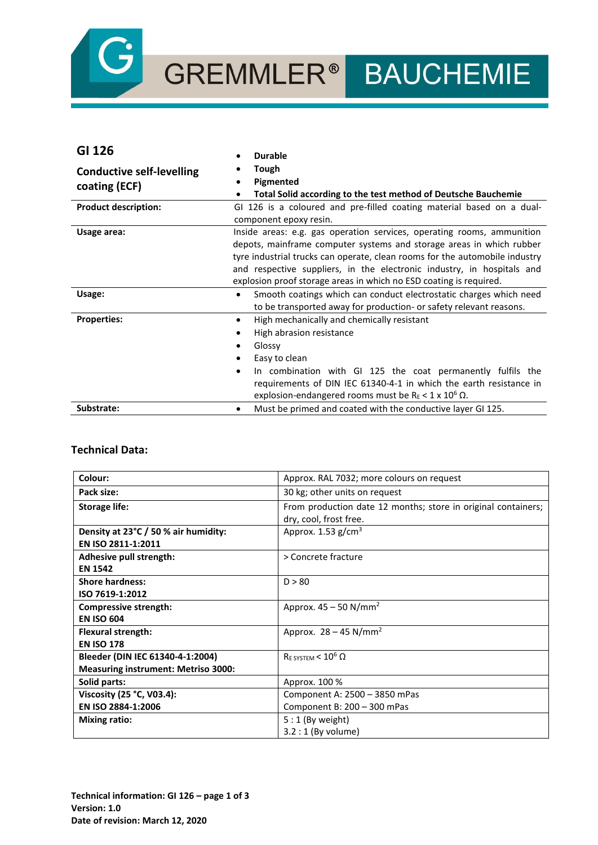

# GREMMLER® BAUCHEMIE

| GI 126                           | <b>Durable</b>                                                                                                                                                                                                                                                                                                                                                                |
|----------------------------------|-------------------------------------------------------------------------------------------------------------------------------------------------------------------------------------------------------------------------------------------------------------------------------------------------------------------------------------------------------------------------------|
| <b>Conductive self-levelling</b> | Tough                                                                                                                                                                                                                                                                                                                                                                         |
| coating (ECF)                    | Pigmented<br>Total Solid according to the test method of Deutsche Bauchemie<br>٠                                                                                                                                                                                                                                                                                              |
| <b>Product description:</b>      | GI 126 is a coloured and pre-filled coating material based on a dual-                                                                                                                                                                                                                                                                                                         |
|                                  | component epoxy resin.                                                                                                                                                                                                                                                                                                                                                        |
| Usage area:                      | Inside areas: e.g. gas operation services, operating rooms, ammunition<br>depots, mainframe computer systems and storage areas in which rubber<br>tyre industrial trucks can operate, clean rooms for the automobile industry<br>and respective suppliers, in the electronic industry, in hospitals and<br>explosion proof storage areas in which no ESD coating is required. |
| Usage:                           | Smooth coatings which can conduct electrostatic charges which need<br>$\bullet$<br>to be transported away for production- or safety relevant reasons.                                                                                                                                                                                                                         |
| <b>Properties:</b>               | High mechanically and chemically resistant<br>$\bullet$<br>High abrasion resistance<br>Glossy<br>Easy to clean<br>In combination with GI 125 the coat permanently fulfils the<br>$\bullet$<br>requirements of DIN IEC 61340-4-1 in which the earth resistance in<br>explosion-endangered rooms must be R <sub>E</sub> < 1 x 10 <sup>6</sup> $\Omega$ .                        |
| Substrate:                       | Must be primed and coated with the conductive layer GI 125.                                                                                                                                                                                                                                                                                                                   |

## **Technical Data:**

| Colour:                                    | Approx. RAL 7032; more colours on request                     |
|--------------------------------------------|---------------------------------------------------------------|
| Pack size:                                 | 30 kg; other units on request                                 |
| <b>Storage life:</b>                       | From production date 12 months; store in original containers; |
|                                            | dry, cool, frost free.                                        |
| Density at 23°C / 50 % air humidity:       | Approx. $1.53$ g/cm <sup>3</sup>                              |
| EN ISO 2811-1:2011                         |                                                               |
| Adhesive pull strength:                    | > Concrete fracture                                           |
| <b>EN 1542</b>                             |                                                               |
| <b>Shore hardness:</b>                     | D > 80                                                        |
| ISO 7619-1:2012                            |                                                               |
| Compressive strength:                      | Approx. $45 - 50$ N/mm <sup>2</sup>                           |
| <b>EN ISO 604</b>                          |                                                               |
| <b>Flexural strength:</b>                  | Approx. $28 - 45$ N/mm <sup>2</sup>                           |
| <b>EN ISO 178</b>                          |                                                               |
| Bleeder (DIN IEC 61340-4-1:2004)           | $R_{\text{E SYSTEM}}$ < 10 <sup>6</sup> $\Omega$              |
| <b>Measuring instrument: Metriso 3000:</b> |                                                               |
| Solid parts:                               | Approx. 100 %                                                 |
| Viscosity (25 °C, V03.4):                  | Component A: 2500 - 3850 mPas                                 |
| EN ISO 2884-1:2006                         | Component B: 200 - 300 mPas                                   |
| <b>Mixing ratio:</b>                       | $5:1$ (By weight)                                             |
|                                            | $3.2:1$ (By volume)                                           |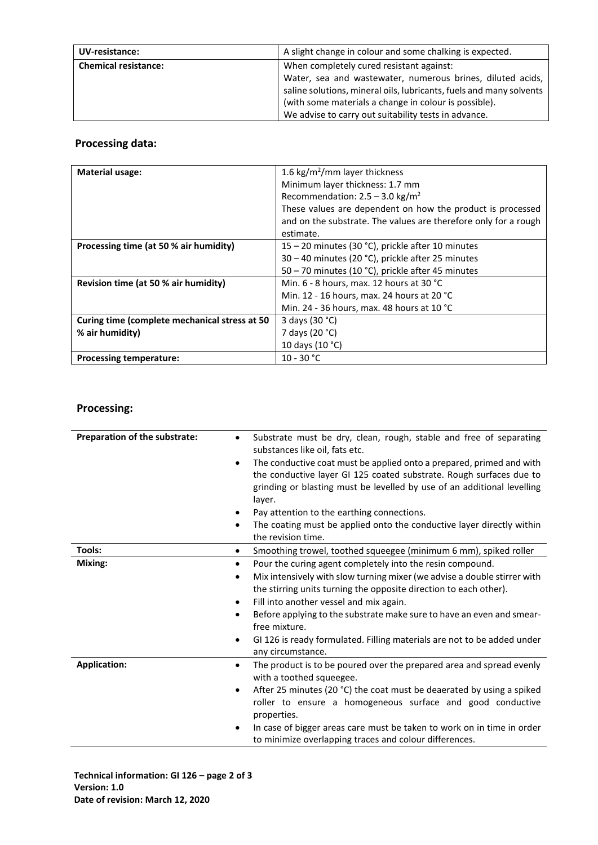| UV-resistance:              | A slight change in colour and some chalking is expected.            |
|-----------------------------|---------------------------------------------------------------------|
| <b>Chemical resistance:</b> | When completely cured resistant against:                            |
|                             | Water, sea and wastewater, numerous brines, diluted acids,          |
|                             | saline solutions, mineral oils, lubricants, fuels and many solvents |
|                             | (with some materials a change in colour is possible).               |
|                             | We advise to carry out suitability tests in advance.                |

# **Processing data:**

| <b>Material usage:</b>                        | 1.6 kg/m <sup>2</sup> /mm layer thickness                       |
|-----------------------------------------------|-----------------------------------------------------------------|
|                                               | Minimum layer thickness: 1.7 mm                                 |
|                                               | Recommendation: $2.5 - 3.0$ kg/m <sup>2</sup>                   |
|                                               | These values are dependent on how the product is processed      |
|                                               | and on the substrate. The values are therefore only for a rough |
|                                               | estimate.                                                       |
| Processing time (at 50 % air humidity)        | 15 – 20 minutes (30 °C), prickle after 10 minutes               |
|                                               | 30 – 40 minutes (20 °C), prickle after 25 minutes               |
|                                               | 50 – 70 minutes (10 °C), prickle after 45 minutes               |
| Revision time (at 50 % air humidity)          | Min. 6 - 8 hours, max. 12 hours at 30 °C                        |
|                                               | Min. 12 - 16 hours, max. 24 hours at 20 °C                      |
|                                               | Min. 24 - 36 hours, max. 48 hours at 10 °C                      |
| Curing time (complete mechanical stress at 50 | 3 days (30 °C)                                                  |
| % air humidity)                               | 7 days (20 °C)                                                  |
|                                               | 10 days (10 °C)                                                 |
| <b>Processing temperature:</b>                | $10 - 30 °C$                                                    |

# **Processing:**

| Preparation of the substrate: | Substrate must be dry, clean, rough, stable and free of separating<br>$\bullet$<br>substances like oil, fats etc.                                                                                                                                                                                                                                                                                                                                                           |
|-------------------------------|-----------------------------------------------------------------------------------------------------------------------------------------------------------------------------------------------------------------------------------------------------------------------------------------------------------------------------------------------------------------------------------------------------------------------------------------------------------------------------|
|                               | The conductive coat must be applied onto a prepared, primed and with<br>$\bullet$<br>the conductive layer GI 125 coated substrate. Rough surfaces due to<br>grinding or blasting must be levelled by use of an additional levelling<br>layer.                                                                                                                                                                                                                               |
|                               | Pay attention to the earthing connections.                                                                                                                                                                                                                                                                                                                                                                                                                                  |
|                               | The coating must be applied onto the conductive layer directly within<br>٠<br>the revision time.                                                                                                                                                                                                                                                                                                                                                                            |
| Tools:                        | Smoothing trowel, toothed squeegee (minimum 6 mm), spiked roller<br>$\bullet$                                                                                                                                                                                                                                                                                                                                                                                               |
| Mixing:                       | Pour the curing agent completely into the resin compound.<br>$\bullet$<br>Mix intensively with slow turning mixer (we advise a double stirrer with<br>٠<br>the stirring units turning the opposite direction to each other).<br>Fill into another vessel and mix again.<br>Before applying to the substrate make sure to have an even and smear-<br>٠<br>free mixture.<br>GI 126 is ready formulated. Filling materials are not to be added under<br>٠<br>any circumstance. |
| <b>Application:</b>           | The product is to be poured over the prepared area and spread evenly<br>$\bullet$<br>with a toothed squeegee.<br>After 25 minutes (20 °C) the coat must be deaerated by using a spiked<br>٠<br>roller to ensure a homogeneous surface and good conductive<br>properties.<br>In case of bigger areas care must be taken to work on in time in order<br>$\bullet$<br>to minimize overlapping traces and colour differences.                                                   |